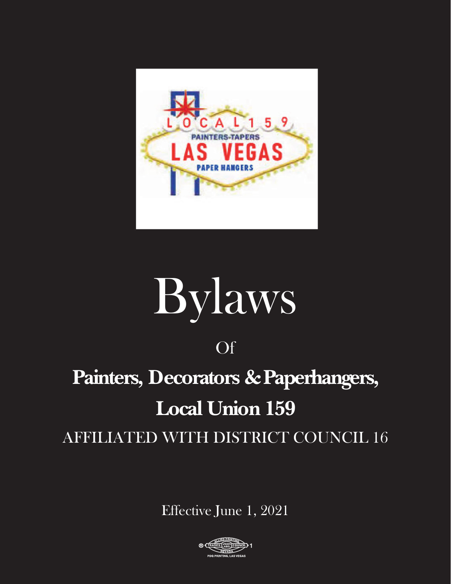

# Bylaws

### Of

# **Painters, Decorators &Paperhangers, Local Union 159**

AFFILIATED WITH DISTRICT COUNCIL 16

Effective June 1, 2021

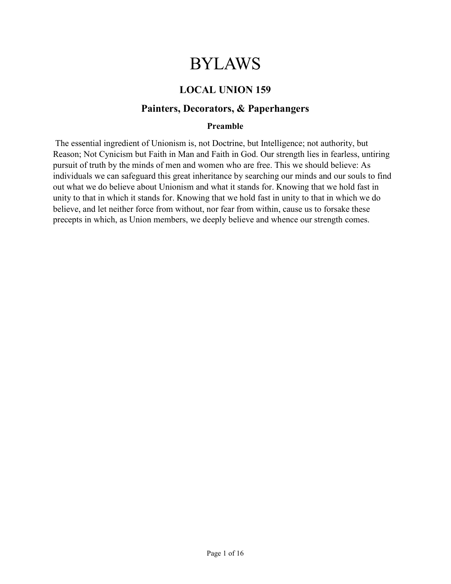## BYLAWS

#### LOCAL UNION 159

#### Painters, Decorators, & Paperhangers

#### Preamble

 The essential ingredient of Unionism is, not Doctrine, but Intelligence; not authority, but Reason; Not Cynicism but Faith in Man and Faith in God. Our strength lies in fearless, untiring pursuit of truth by the minds of men and women who are free. This we should believe: As individuals we can safeguard this great inheritance by searching our minds and our souls to find out what we do believe about Unionism and what it stands for. Knowing that we hold fast in unity to that in which it stands for. Knowing that we hold fast in unity to that in which we do believe, and let neither force from without, nor fear from within, cause us to forsake these precepts in which, as Union members, we deeply believe and whence our strength comes.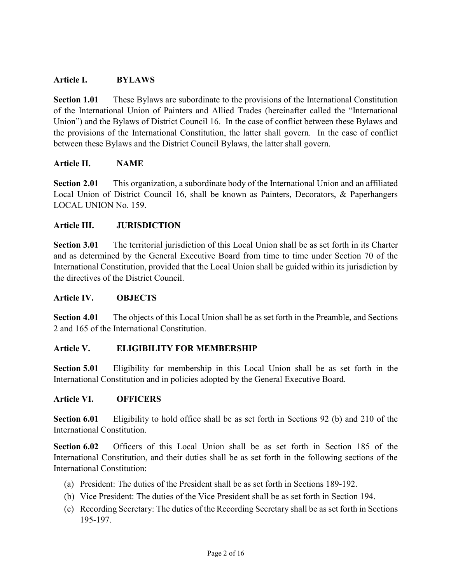#### Article I. BYLAWS

Section 1.01 These Bylaws are subordinate to the provisions of the International Constitution of the International Union of Painters and Allied Trades (hereinafter called the "International Union") and the Bylaws of District Council 16. In the case of conflict between these Bylaws and the provisions of the International Constitution, the latter shall govern. In the case of conflict between these Bylaws and the District Council Bylaws, the latter shall govern.

#### Article II. NAME

Section 2.01 This organization, a subordinate body of the International Union and an affiliated Local Union of District Council 16, shall be known as Painters, Decorators, & Paperhangers LOCAL UNION No. 159.

#### Article III. JURISDICTION

Section 3.01 The territorial jurisdiction of this Local Union shall be as set forth in its Charter and as determined by the General Executive Board from time to time under Section 70 of the International Constitution, provided that the Local Union shall be guided within its jurisdiction by the directives of the District Council.

#### Article IV. OBJECTS

Section 4.01 The objects of this Local Union shall be as set forth in the Preamble, and Sections 2 and 165 of the International Constitution.

#### Article V. ELIGIBILITY FOR MEMBERSHIP

Section 5.01 Eligibility for membership in this Local Union shall be as set forth in the International Constitution and in policies adopted by the General Executive Board.

#### Article VI. OFFICERS

Section 6.01 Eligibility to hold office shall be as set forth in Sections 92 (b) and 210 of the International Constitution.

Section 6.02 Officers of this Local Union shall be as set forth in Section 185 of the International Constitution, and their duties shall be as set forth in the following sections of the International Constitution:

- (a) President: The duties of the President shall be as set forth in Sections 189-192.
- (b) Vice President: The duties of the Vice President shall be as set forth in Section 194.
- (c) Recording Secretary: The duties of the Recording Secretary shall be as set forth in Sections 195-197.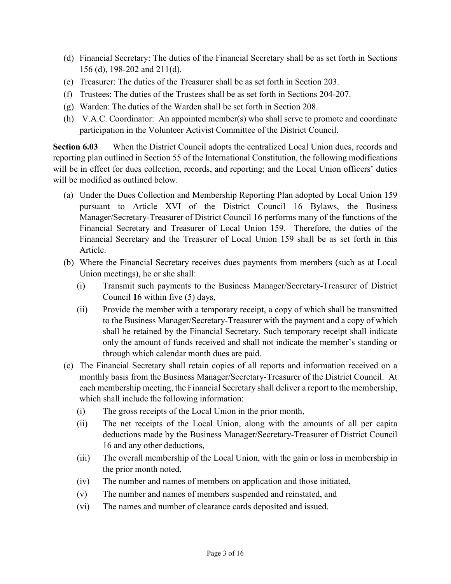- (d) Financial Secretary: The duties of the Financial Secretary shall be as set forth in Sections 156 (d), 198-202 and 211(d).
- (e) Treasurer: The duties of the Treasurer shall be as set forth in Section 203.
- (f) Trustees: The duties of the Trustees shall be as set forth in Sections 204-207.
- (g) Warden: The duties of the Warden shall be set forth in Section 208.
- (h) V.A.C. Coordinator: An appointed member(s) who shall serve to promote and coordinate participation in the Volunteer Activist Committee of the District Council.

Section 6.03 When the District Council adopts the centralized Local Union dues, records and reporting plan outlined in Section 55 of the International Constitution, the following modifications will be in effect for dues collection, records, and reporting; and the Local Union officers' duties will be modified as outlined below.

- (a) Under the Dues Collection and Membership Reporting Plan adopted by Local Union 159 pursuant to Article XVI of the District Council 16 Bylaws, the Business Manager/Secretary-Treasurer of District Council 16 performs many of the functions of the Financial Secretary and Treasurer of Local Union 159. Therefore, the duties of the Financial Secretary and the Treasurer of Local Union 159 shall be as set forth in this Article.
- (b) Where the Financial Secretary receives dues payments from members (such as at Local Union meetings), he or she shall:
	- (i) Transmit such payments to the Business Manager/Secretary-Treasurer of District Council 16 within five (5) days,
	- (ii) Provide the member with a temporary receipt, a copy of which shall be transmitted to the Business Manager/Secretary-Treasurer with the payment and a copy of which shall be retained by the Financial Secretary. Such temporary receipt shall indicate only the amount of funds received and shall not indicate the member's standing or through which calendar month dues are paid.
- (c) The Financial Secretary shall retain copies of all reports and information received on a monthly basis from the Business Manager/Secretary-Treasurer of the District Council. At each membership meeting, the Financial Secretary shall deliver a report to the membership, which shall include the following information:
	- (i) The gross receipts of the Local Union in the prior month,
	- (ii) The net receipts of the Local Union, along with the amounts of all per capita deductions made by the Business Manager/Secretary-Treasurer of District Council 16 and any other deductions,
	- (iii) The overall membership of the Local Union, with the gain or loss in membership in the prior month noted,
	- (iv) The number and names of members on application and those initiated,
	- (v) The number and names of members suspended and reinstated, and
	- (vi) The names and number of clearance cards deposited and issued.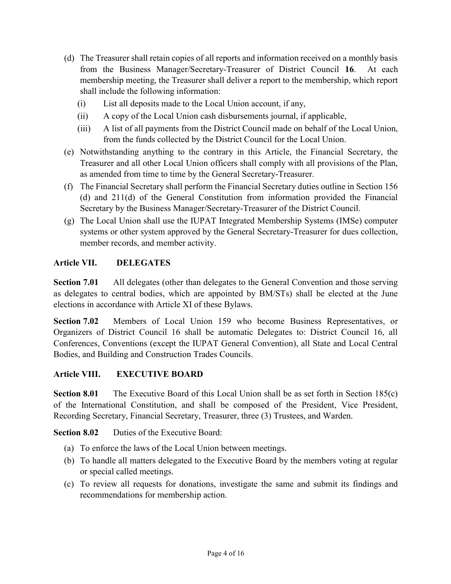- (d) The Treasurer shall retain copies of all reports and information received on a monthly basis from the Business Manager/Secretary-Treasurer of District Council 16. At each membership meeting, the Treasurer shall deliver a report to the membership, which report shall include the following information:
	- (i) List all deposits made to the Local Union account, if any,
	- (ii) A copy of the Local Union cash disbursements journal, if applicable,
	- (iii) A list of all payments from the District Council made on behalf of the Local Union, from the funds collected by the District Council for the Local Union.
- (e) Notwithstanding anything to the contrary in this Article, the Financial Secretary, the Treasurer and all other Local Union officers shall comply with all provisions of the Plan, as amended from time to time by the General Secretary-Treasurer.
- (f) The Financial Secretary shall perform the Financial Secretary duties outline in Section 156 (d) and 211(d) of the General Constitution from information provided the Financial Secretary by the Business Manager/Secretary-Treasurer of the District Council.
- (g) The Local Union shall use the IUPAT Integrated Membership Systems (IMSe) computer systems or other system approved by the General Secretary-Treasurer for dues collection, member records, and member activity.

#### Article VII. DELEGATES

Section 7.01 All delegates (other than delegates to the General Convention and those serving as delegates to central bodies, which are appointed by BM/STs) shall be elected at the June elections in accordance with Article XI of these Bylaws.

Section 7.02 Members of Local Union 159 who become Business Representatives, or Organizers of District Council 16 shall be automatic Delegates to: District Council 16, all Conferences, Conventions (except the IUPAT General Convention), all State and Local Central Bodies, and Building and Construction Trades Councils.

#### Article VIII. EXECUTIVE BOARD

Section 8.01 The Executive Board of this Local Union shall be as set forth in Section 185(c) of the International Constitution, and shall be composed of the President, Vice President, Recording Secretary, Financial Secretary, Treasurer, three (3) Trustees, and Warden.

Section 8.02 Duties of the Executive Board:

- (a) To enforce the laws of the Local Union between meetings.
- (b) To handle all matters delegated to the Executive Board by the members voting at regular or special called meetings.
- (c) To review all requests for donations, investigate the same and submit its findings and recommendations for membership action.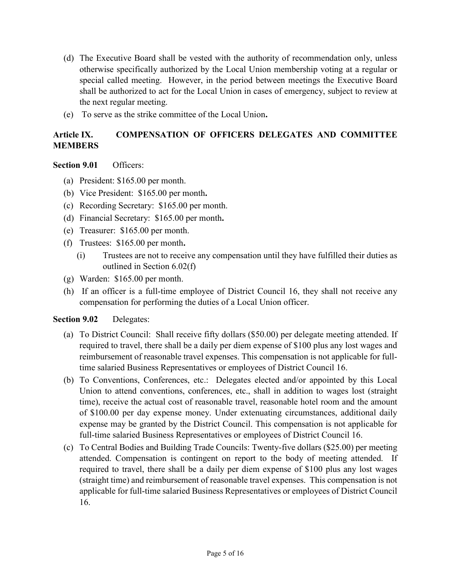- (d) The Executive Board shall be vested with the authority of recommendation only, unless otherwise specifically authorized by the Local Union membership voting at a regular or special called meeting. However, in the period between meetings the Executive Board shall be authorized to act for the Local Union in cases of emergency, subject to review at the next regular meeting.
- (e) To serve as the strike committee of the Local Union.

#### Article IX. COMPENSATION OF OFFICERS DELEGATES AND COMMITTEE **MEMBERS**

#### Section 9.01 Officers:

- (a) President: \$165.00 per month.
- (b) Vice President: \$165.00 per month.
- (c) Recording Secretary: \$165.00 per month.
- (d) Financial Secretary: \$165.00 per month.
- (e) Treasurer: \$165.00 per month.
- (f) Trustees: \$165.00 per month.
	- (i) Trustees are not to receive any compensation until they have fulfilled their duties as outlined in Section 6.02(f)
- (g) Warden: \$165.00 per month.
- (h) If an officer is a full-time employee of District Council 16, they shall not receive any compensation for performing the duties of a Local Union officer.

#### Section 9.02 Delegates:

- (a) To District Council: Shall receive fifty dollars (\$50.00) per delegate meeting attended. If required to travel, there shall be a daily per diem expense of \$100 plus any lost wages and reimbursement of reasonable travel expenses. This compensation is not applicable for fulltime salaried Business Representatives or employees of District Council 16.
- (b) To Conventions, Conferences, etc.: Delegates elected and/or appointed by this Local Union to attend conventions, conferences, etc., shall in addition to wages lost (straight time), receive the actual cost of reasonable travel, reasonable hotel room and the amount of \$100.00 per day expense money. Under extenuating circumstances, additional daily expense may be granted by the District Council. This compensation is not applicable for full-time salaried Business Representatives or employees of District Council 16.
- (c) To Central Bodies and Building Trade Councils: Twenty-five dollars (\$25.00) per meeting attended. Compensation is contingent on report to the body of meeting attended. If required to travel, there shall be a daily per diem expense of \$100 plus any lost wages (straight time) and reimbursement of reasonable travel expenses. This compensation is not applicable for full-time salaried Business Representatives or employees of District Council 16.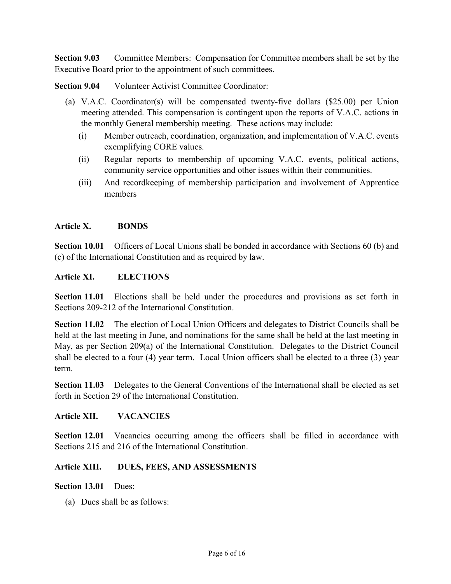Section 9.03 Committee Members: Compensation for Committee members shall be set by the Executive Board prior to the appointment of such committees.

Section 9.04 Volunteer Activist Committee Coordinator:

- (a) V.A.C. Coordinator(s) will be compensated twenty-five dollars (\$25.00) per Union meeting attended. This compensation is contingent upon the reports of V.A.C. actions in the monthly General membership meeting. These actions may include:
	- (i) Member outreach, coordination, organization, and implementation of V.A.C. events exemplifying CORE values.
	- (ii) Regular reports to membership of upcoming V.A.C. events, political actions, community service opportunities and other issues within their communities.
	- (iii) And recordkeeping of membership participation and involvement of Apprentice members

#### Article X. BONDS

Section 10.01 Officers of Local Unions shall be bonded in accordance with Sections 60 (b) and (c) of the International Constitution and as required by law.

#### Article XI. ELECTIONS

Section 11.01 Elections shall be held under the procedures and provisions as set forth in Sections 209-212 of the International Constitution.

Section 11.02 The election of Local Union Officers and delegates to District Councils shall be held at the last meeting in June, and nominations for the same shall be held at the last meeting in May, as per Section 209(a) of the International Constitution. Delegates to the District Council shall be elected to a four (4) year term. Local Union officers shall be elected to a three (3) year term.

Section 11.03 Delegates to the General Conventions of the International shall be elected as set forth in Section 29 of the International Constitution.

#### Article XII. VACANCIES

Section 12.01 Vacancies occurring among the officers shall be filled in accordance with Sections 215 and 216 of the International Constitution.

#### Article XIII. DUES, FEES, AND ASSESSMENTS

#### Section 13.01 Dues:

(a) Dues shall be as follows: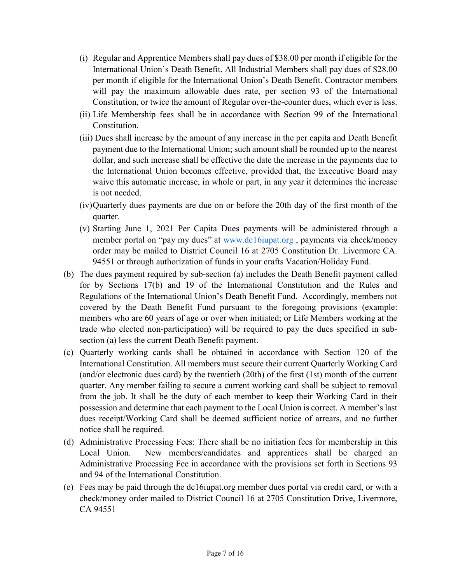- (i) Regular and Apprentice Members shall pay dues of \$38.00 per month if eligible for the International Union's Death Benefit. All Industrial Members shall pay dues of \$28.00 per month if eligible for the International Union's Death Benefit. Contractor members will pay the maximum allowable dues rate, per section 93 of the International Constitution, or twice the amount of Regular over-the-counter dues, which ever is less.
- (ii) Life Membership fees shall be in accordance with Section 99 of the International **Constitution**
- (iii) Dues shall increase by the amount of any increase in the per capita and Death Benefit payment due to the International Union; such amount shall be rounded up to the nearest dollar, and such increase shall be effective the date the increase in the payments due to the International Union becomes effective, provided that, the Executive Board may waive this automatic increase, in whole or part, in any year it determines the increase is not needed.
- (iv)Quarterly dues payments are due on or before the 20th day of the first month of the quarter.
- (v) Starting June 1, 2021 Per Capita Dues payments will be administered through a member portal on "pay my dues" at www.dc16iupat.org , payments via check/money order may be mailed to District Council 16 at 2705 Constitution Dr. Livermore CA. 94551 or through authorization of funds in your crafts Vacation/Holiday Fund.
- (b) The dues payment required by sub-section (a) includes the Death Benefit payment called for by Sections 17(b) and 19 of the International Constitution and the Rules and Regulations of the International Union's Death Benefit Fund. Accordingly, members not covered by the Death Benefit Fund pursuant to the foregoing provisions (example: members who are 60 years of age or over when initiated; or Life Members working at the trade who elected non-participation) will be required to pay the dues specified in subsection (a) less the current Death Benefit payment.
- (c) Quarterly working cards shall be obtained in accordance with Section 120 of the International Constitution. All members must secure their current Quarterly Working Card (and/or electronic dues card) by the twentieth (20th) of the first (1st) month of the current quarter. Any member failing to secure a current working card shall be subject to removal from the job. It shall be the duty of each member to keep their Working Card in their possession and determine that each payment to the Local Union is correct. A member's last dues receipt/Working Card shall be deemed sufficient notice of arrears, and no further notice shall be required.
- (d) Administrative Processing Fees: There shall be no initiation fees for membership in this Local Union. New members/candidates and apprentices shall be charged an Administrative Processing Fee in accordance with the provisions set forth in Sections 93 and 94 of the International Constitution.
- (e) Fees may be paid through the dc16iupat.org member dues portal via credit card, or with a check/money order mailed to District Council 16 at 2705 Constitution Drive, Livermore, CA 94551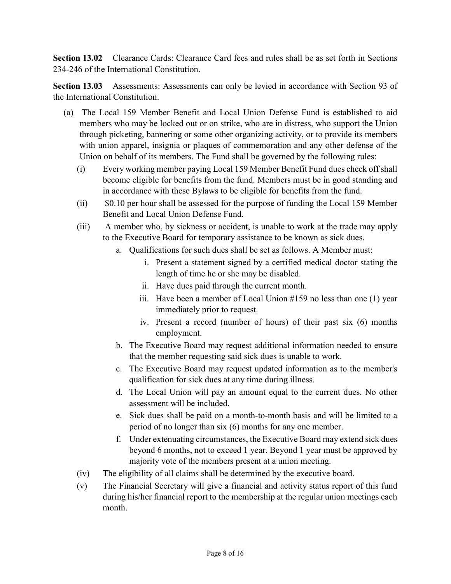Section 13.02 Clearance Cards: Clearance Card fees and rules shall be as set forth in Sections 234-246 of the International Constitution.

Section 13.03 Assessments: Assessments can only be levied in accordance with Section 93 of the International Constitution.

- (a) The Local 159 Member Benefit and Local Union Defense Fund is established to aid members who may be locked out or on strike, who are in distress, who support the Union through picketing, bannering or some other organizing activity, or to provide its members with union apparel, insignia or plaques of commemoration and any other defense of the Union on behalf of its members. The Fund shall be governed by the following rules:
	- (i) Every working member paying Local 159 Member Benefit Fund dues check off shall become eligible for benefits from the fund. Members must be in good standing and in accordance with these Bylaws to be eligible for benefits from the fund.
	- (ii) \$0.10 per hour shall be assessed for the purpose of funding the Local 159 Member Benefit and Local Union Defense Fund.
	- (iii) A member who, by sickness or accident, is unable to work at the trade may apply to the Executive Board for temporary assistance to be known as sick dues.
		- a. Qualifications for such dues shall be set as follows. A Member must:
			- i. Present a statement signed by a certified medical doctor stating the length of time he or she may be disabled.
			- ii. Have dues paid through the current month.
			- iii. Have been a member of Local Union #159 no less than one (1) year immediately prior to request.
			- iv. Present a record (number of hours) of their past six (6) months employment.
		- b. The Executive Board may request additional information needed to ensure that the member requesting said sick dues is unable to work.
		- c. The Executive Board may request updated information as to the member's qualification for sick dues at any time during illness.
		- d. The Local Union will pay an amount equal to the current dues. No other assessment will be included.
		- e. Sick dues shall be paid on a month-to-month basis and will be limited to a period of no longer than six (6) months for any one member.
		- f. Under extenuating circumstances, the Executive Board may extend sick dues beyond 6 months, not to exceed 1 year. Beyond 1 year must be approved by majority vote of the members present at a union meeting.
	- (iv) The eligibility of all claims shall be determined by the executive board.
	- (v) The Financial Secretary will give a financial and activity status report of this fund during his/her financial report to the membership at the regular union meetings each month.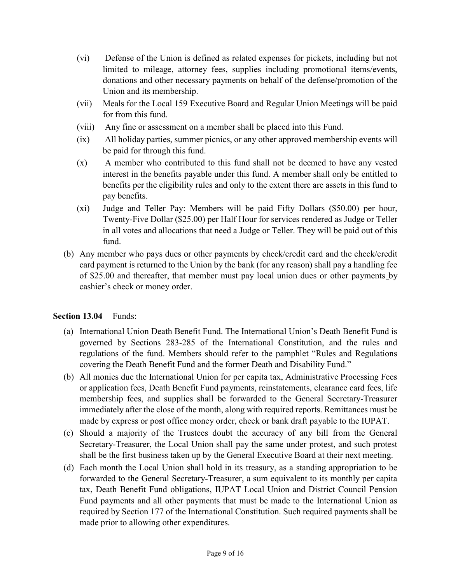- (vi) Defense of the Union is defined as related expenses for pickets, including but not limited to mileage, attorney fees, supplies including promotional items/events, donations and other necessary payments on behalf of the defense/promotion of the Union and its membership.
- (vii) Meals for the Local 159 Executive Board and Regular Union Meetings will be paid for from this fund.
- (viii) Any fine or assessment on a member shall be placed into this Fund.
- (ix) All holiday parties, summer picnics, or any other approved membership events will be paid for through this fund.
- (x) A member who contributed to this fund shall not be deemed to have any vested interest in the benefits payable under this fund. A member shall only be entitled to benefits per the eligibility rules and only to the extent there are assets in this fund to pay benefits.
- (xi) Judge and Teller Pay: Members will be paid Fifty Dollars (\$50.00) per hour, Twenty-Five Dollar (\$25.00) per Half Hour for services rendered as Judge or Teller in all votes and allocations that need a Judge or Teller. They will be paid out of this fund.
- (b) Any member who pays dues or other payments by check/credit card and the check/credit card payment is returned to the Union by the bank (for any reason) shall pay a handling fee of \$25.00 and thereafter, that member must pay local union dues or other payments by cashier's check or money order.

#### Section 13.04 Funds:

- (a) International Union Death Benefit Fund. The International Union's Death Benefit Fund is governed by Sections 283-285 of the International Constitution, and the rules and regulations of the fund. Members should refer to the pamphlet "Rules and Regulations covering the Death Benefit Fund and the former Death and Disability Fund."
- (b) All monies due the International Union for per capita tax, Administrative Processing Fees or application fees, Death Benefit Fund payments, reinstatements, clearance card fees, life membership fees, and supplies shall be forwarded to the General Secretary-Treasurer immediately after the close of the month, along with required reports. Remittances must be made by express or post office money order, check or bank draft payable to the IUPAT.
- (c) Should a majority of the Trustees doubt the accuracy of any bill from the General Secretary-Treasurer, the Local Union shall pay the same under protest, and such protest shall be the first business taken up by the General Executive Board at their next meeting.
- (d) Each month the Local Union shall hold in its treasury, as a standing appropriation to be forwarded to the General Secretary-Treasurer, a sum equivalent to its monthly per capita tax, Death Benefit Fund obligations, IUPAT Local Union and District Council Pension Fund payments and all other payments that must be made to the International Union as required by Section 177 of the International Constitution. Such required payments shall be made prior to allowing other expenditures.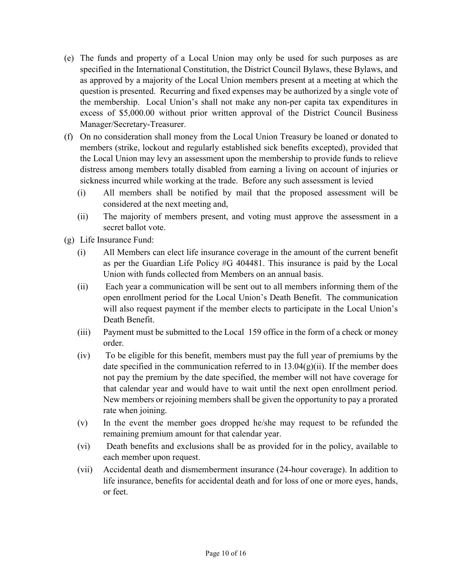- (e) The funds and property of a Local Union may only be used for such purposes as are specified in the International Constitution, the District Council Bylaws, these Bylaws, and as approved by a majority of the Local Union members present at a meeting at which the question is presented. Recurring and fixed expenses may be authorized by a single vote of the membership. Local Union's shall not make any non-per capita tax expenditures in excess of \$5,000.00 without prior written approval of the District Council Business Manager/Secretary-Treasurer.
- (f) On no consideration shall money from the Local Union Treasury be loaned or donated to members (strike, lockout and regularly established sick benefits excepted), provided that the Local Union may levy an assessment upon the membership to provide funds to relieve distress among members totally disabled from earning a living on account of injuries or sickness incurred while working at the trade. Before any such assessment is levied
	- (i) All members shall be notified by mail that the proposed assessment will be considered at the next meeting and,
	- (ii) The majority of members present, and voting must approve the assessment in a secret ballot vote.
- (g) Life Insurance Fund:
	- (i) All Members can elect life insurance coverage in the amount of the current benefit as per the Guardian Life Policy #G 404481. This insurance is paid by the Local Union with funds collected from Members on an annual basis.
	- (ii) Each year a communication will be sent out to all members informing them of the open enrollment period for the Local Union's Death Benefit. The communication will also request payment if the member elects to participate in the Local Union's Death Benefit.
	- (iii) Payment must be submitted to the Local 159 office in the form of a check or money order.
	- (iv) To be eligible for this benefit, members must pay the full year of premiums by the date specified in the communication referred to in  $13.04(g)(ii)$ . If the member does not pay the premium by the date specified, the member will not have coverage for that calendar year and would have to wait until the next open enrollment period. New members or rejoining members shall be given the opportunity to pay a prorated rate when joining.
	- (v) In the event the member goes dropped he/she may request to be refunded the remaining premium amount for that calendar year.
	- (vi) Death benefits and exclusions shall be as provided for in the policy, available to each member upon request.
	- (vii) Accidental death and dismemberment insurance (24-hour coverage). In addition to life insurance, benefits for accidental death and for loss of one or more eyes, hands, or feet.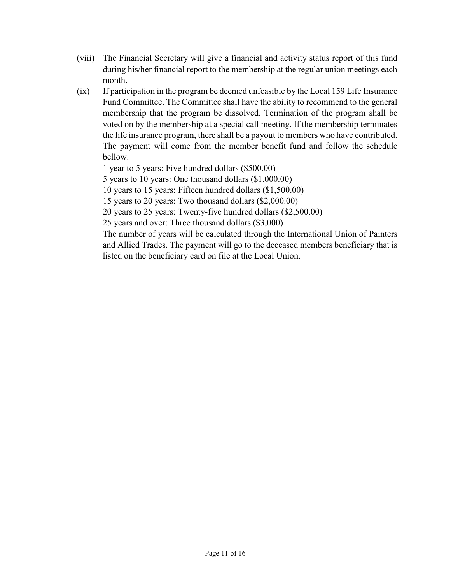- (viii) The Financial Secretary will give a financial and activity status report of this fund during his/her financial report to the membership at the regular union meetings each month.
- (ix) If participation in the program be deemed unfeasible by the Local 159 Life Insurance Fund Committee. The Committee shall have the ability to recommend to the general membership that the program be dissolved. Termination of the program shall be voted on by the membership at a special call meeting. If the membership terminates the life insurance program, there shall be a payout to members who have contributed. The payment will come from the member benefit fund and follow the schedule bellow.

1 year to 5 years: Five hundred dollars (\$500.00)

5 years to 10 years: One thousand dollars (\$1,000.00)

10 years to 15 years: Fifteen hundred dollars (\$1,500.00)

15 years to 20 years: Two thousand dollars (\$2,000.00)

20 years to 25 years: Twenty-five hundred dollars (\$2,500.00)

25 years and over: Three thousand dollars (\$3,000)

The number of years will be calculated through the International Union of Painters and Allied Trades. The payment will go to the deceased members beneficiary that is listed on the beneficiary card on file at the Local Union.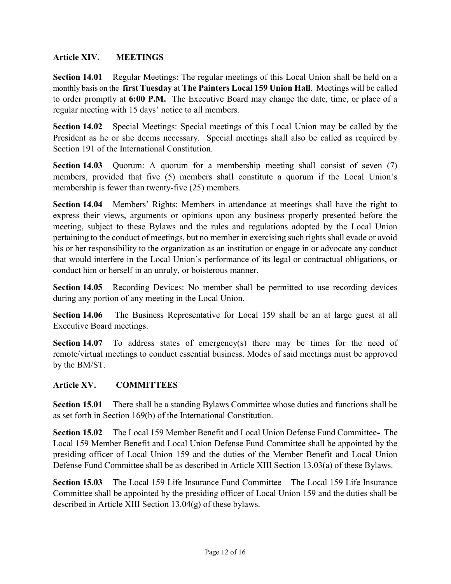#### Article XIV. MEETINGS

Section 14.01 Regular Meetings: The regular meetings of this Local Union shall be held on a monthly basis on the first Tuesday at The Painters Local 159 Union Hall. Meetings will be called to order promptly at 6:00 P.M. The Executive Board may change the date, time, or place of a regular meeting with 15 days' notice to all members.

Section 14.02 Special Meetings: Special meetings of this Local Union may be called by the President as he or she deems necessary. Special meetings shall also be called as required by Section 191 of the International Constitution.

Section 14.03 Quorum: A quorum for a membership meeting shall consist of seven (7) members, provided that five (5) members shall constitute a quorum if the Local Union's membership is fewer than twenty-five (25) members.

Section 14.04 Members' Rights: Members in attendance at meetings shall have the right to express their views, arguments or opinions upon any business properly presented before the meeting, subject to these Bylaws and the rules and regulations adopted by the Local Union pertaining to the conduct of meetings, but no member in exercising such rights shall evade or avoid his or her responsibility to the organization as an institution or engage in or advocate any conduct that would interfere in the Local Union's performance of its legal or contractual obligations, or conduct him or herself in an unruly, or boisterous manner.

Section 14.05 Recording Devices: No member shall be permitted to use recording devices during any portion of any meeting in the Local Union.

Section 14.06 The Business Representative for Local 159 shall be an at large guest at all Executive Board meetings.

Section 14.07 To address states of emergency(s) there may be times for the need of remote/virtual meetings to conduct essential business. Modes of said meetings must be approved by the BM/ST.

#### Article XV. COMMITTEES

Section 15.01 There shall be a standing Bylaws Committee whose duties and functions shall be as set forth in Section 169(b) of the International Constitution.

Section 15.02 The Local 159 Member Benefit and Local Union Defense Fund Committee- The Local 159 Member Benefit and Local Union Defense Fund Committee shall be appointed by the presiding officer of Local Union 159 and the duties of the Member Benefit and Local Union Defense Fund Committee shall be as described in Article XIII Section 13.03(a) of these Bylaws.

Section 15.03 The Local 159 Life Insurance Fund Committee – The Local 159 Life Insurance Committee shall be appointed by the presiding officer of Local Union 159 and the duties shall be described in Article XIII Section 13.04(g) of these bylaws.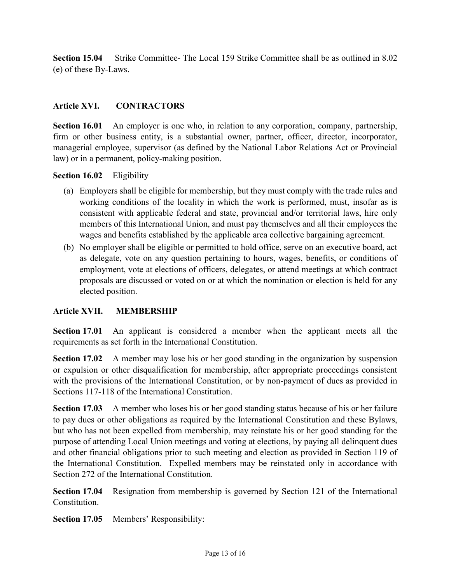Section 15.04 Strike Committee- The Local 159 Strike Committee shall be as outlined in 8.02 (e) of these By-Laws.

#### Article XVI. CONTRACTORS

Section 16.01 An employer is one who, in relation to any corporation, company, partnership, firm or other business entity, is a substantial owner, partner, officer, director, incorporator, managerial employee, supervisor (as defined by the National Labor Relations Act or Provincial law) or in a permanent, policy-making position.

#### Section 16.02 Eligibility

- (a) Employers shall be eligible for membership, but they must comply with the trade rules and working conditions of the locality in which the work is performed, must, insofar as is consistent with applicable federal and state, provincial and/or territorial laws, hire only members of this International Union, and must pay themselves and all their employees the wages and benefits established by the applicable area collective bargaining agreement.
- (b) No employer shall be eligible or permitted to hold office, serve on an executive board, act as delegate, vote on any question pertaining to hours, wages, benefits, or conditions of employment, vote at elections of officers, delegates, or attend meetings at which contract proposals are discussed or voted on or at which the nomination or election is held for any elected position.

#### Article XVII. MEMBERSHIP

Section 17.01 An applicant is considered a member when the applicant meets all the requirements as set forth in the International Constitution.

Section 17.02 A member may lose his or her good standing in the organization by suspension or expulsion or other disqualification for membership, after appropriate proceedings consistent with the provisions of the International Constitution, or by non-payment of dues as provided in Sections 117-118 of the International Constitution.

Section 17.03 A member who loses his or her good standing status because of his or her failure to pay dues or other obligations as required by the International Constitution and these Bylaws, but who has not been expelled from membership, may reinstate his or her good standing for the purpose of attending Local Union meetings and voting at elections, by paying all delinquent dues and other financial obligations prior to such meeting and election as provided in Section 119 of the International Constitution. Expelled members may be reinstated only in accordance with Section 272 of the International Constitution.

Section 17.04 Resignation from membership is governed by Section 121 of the International Constitution.

Section 17.05 Members' Responsibility: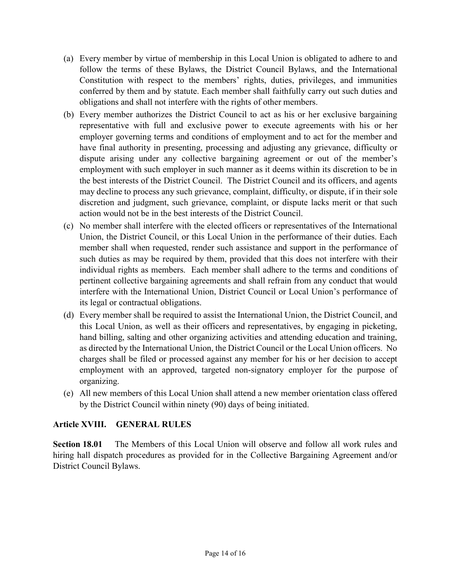- (a) Every member by virtue of membership in this Local Union is obligated to adhere to and follow the terms of these Bylaws, the District Council Bylaws, and the International Constitution with respect to the members' rights, duties, privileges, and immunities conferred by them and by statute. Each member shall faithfully carry out such duties and obligations and shall not interfere with the rights of other members.
- (b) Every member authorizes the District Council to act as his or her exclusive bargaining representative with full and exclusive power to execute agreements with his or her employer governing terms and conditions of employment and to act for the member and have final authority in presenting, processing and adjusting any grievance, difficulty or dispute arising under any collective bargaining agreement or out of the member's employment with such employer in such manner as it deems within its discretion to be in the best interests of the District Council. The District Council and its officers, and agents may decline to process any such grievance, complaint, difficulty, or dispute, if in their sole discretion and judgment, such grievance, complaint, or dispute lacks merit or that such action would not be in the best interests of the District Council.
- (c) No member shall interfere with the elected officers or representatives of the International Union, the District Council, or this Local Union in the performance of their duties. Each member shall when requested, render such assistance and support in the performance of such duties as may be required by them, provided that this does not interfere with their individual rights as members. Each member shall adhere to the terms and conditions of pertinent collective bargaining agreements and shall refrain from any conduct that would interfere with the International Union, District Council or Local Union's performance of its legal or contractual obligations.
- (d) Every member shall be required to assist the International Union, the District Council, and this Local Union, as well as their officers and representatives, by engaging in picketing, hand billing, salting and other organizing activities and attending education and training, as directed by the International Union, the District Council or the Local Union officers. No charges shall be filed or processed against any member for his or her decision to accept employment with an approved, targeted non-signatory employer for the purpose of organizing.
- (e) All new members of this Local Union shall attend a new member orientation class offered by the District Council within ninety (90) days of being initiated.

#### Article XVIII. GENERAL RULES

Section 18.01 The Members of this Local Union will observe and follow all work rules and hiring hall dispatch procedures as provided for in the Collective Bargaining Agreement and/or District Council Bylaws.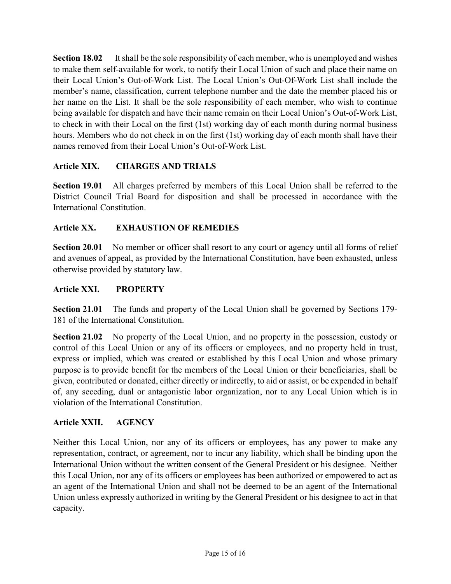Section 18.02 It shall be the sole responsibility of each member, who is unemployed and wishes to make them self-available for work, to notify their Local Union of such and place their name on their Local Union's Out-of-Work List. The Local Union's Out-Of-Work List shall include the member's name, classification, current telephone number and the date the member placed his or her name on the List. It shall be the sole responsibility of each member, who wish to continue being available for dispatch and have their name remain on their Local Union's Out-of-Work List, to check in with their Local on the first (1st) working day of each month during normal business hours. Members who do not check in on the first (1st) working day of each month shall have their names removed from their Local Union's Out-of-Work List.

#### Article XIX. CHARGES AND TRIALS

Section 19.01 All charges preferred by members of this Local Union shall be referred to the District Council Trial Board for disposition and shall be processed in accordance with the International Constitution.

#### Article XX. EXHAUSTION OF REMEDIES

Section 20.01 No member or officer shall resort to any court or agency until all forms of relief and avenues of appeal, as provided by the International Constitution, have been exhausted, unless otherwise provided by statutory law.

#### Article XXI. PROPERTY

Section 21.01 The funds and property of the Local Union shall be governed by Sections 179- 181 of the International Constitution.

Section 21.02 No property of the Local Union, and no property in the possession, custody or control of this Local Union or any of its officers or employees, and no property held in trust, express or implied, which was created or established by this Local Union and whose primary purpose is to provide benefit for the members of the Local Union or their beneficiaries, shall be given, contributed or donated, either directly or indirectly, to aid or assist, or be expended in behalf of, any seceding, dual or antagonistic labor organization, nor to any Local Union which is in violation of the International Constitution.

#### Article XXII. AGENCY

Neither this Local Union, nor any of its officers or employees, has any power to make any representation, contract, or agreement, nor to incur any liability, which shall be binding upon the International Union without the written consent of the General President or his designee. Neither this Local Union, nor any of its officers or employees has been authorized or empowered to act as an agent of the International Union and shall not be deemed to be an agent of the International Union unless expressly authorized in writing by the General President or his designee to act in that capacity.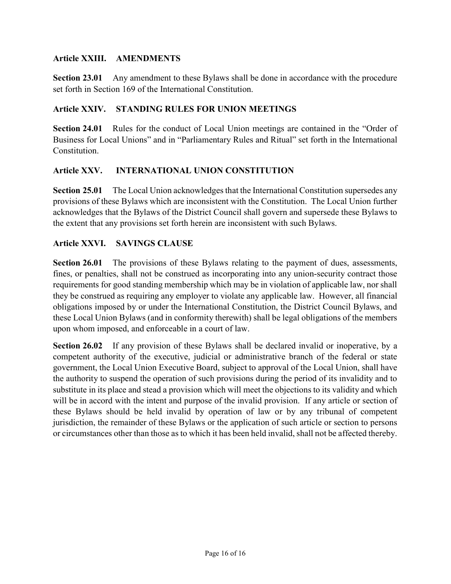#### Article XXIII. AMENDMENTS

Section 23.01 Any amendment to these Bylaws shall be done in accordance with the procedure set forth in Section 169 of the International Constitution.

#### Article XXIV. STANDING RULES FOR UNION MEETINGS

Section 24.01 Rules for the conduct of Local Union meetings are contained in the "Order of Business for Local Unions" and in "Parliamentary Rules and Ritual" set forth in the International **Constitution** 

#### Article XXV. INTERNATIONAL UNION CONSTITUTION

Section 25.01 The Local Union acknowledges that the International Constitution supersedes any provisions of these Bylaws which are inconsistent with the Constitution. The Local Union further acknowledges that the Bylaws of the District Council shall govern and supersede these Bylaws to the extent that any provisions set forth herein are inconsistent with such Bylaws.

#### Article XXVI. SAVINGS CLAUSE

Section 26.01 The provisions of these Bylaws relating to the payment of dues, assessments, fines, or penalties, shall not be construed as incorporating into any union-security contract those requirements for good standing membership which may be in violation of applicable law, nor shall they be construed as requiring any employer to violate any applicable law. However, all financial obligations imposed by or under the International Constitution, the District Council Bylaws, and these Local Union Bylaws (and in conformity therewith) shall be legal obligations of the members upon whom imposed, and enforceable in a court of law.

Section 26.02 If any provision of these Bylaws shall be declared invalid or inoperative, by a competent authority of the executive, judicial or administrative branch of the federal or state government, the Local Union Executive Board, subject to approval of the Local Union, shall have the authority to suspend the operation of such provisions during the period of its invalidity and to substitute in its place and stead a provision which will meet the objections to its validity and which will be in accord with the intent and purpose of the invalid provision. If any article or section of these Bylaws should be held invalid by operation of law or by any tribunal of competent jurisdiction, the remainder of these Bylaws or the application of such article or section to persons or circumstances other than those as to which it has been held invalid, shall not be affected thereby.